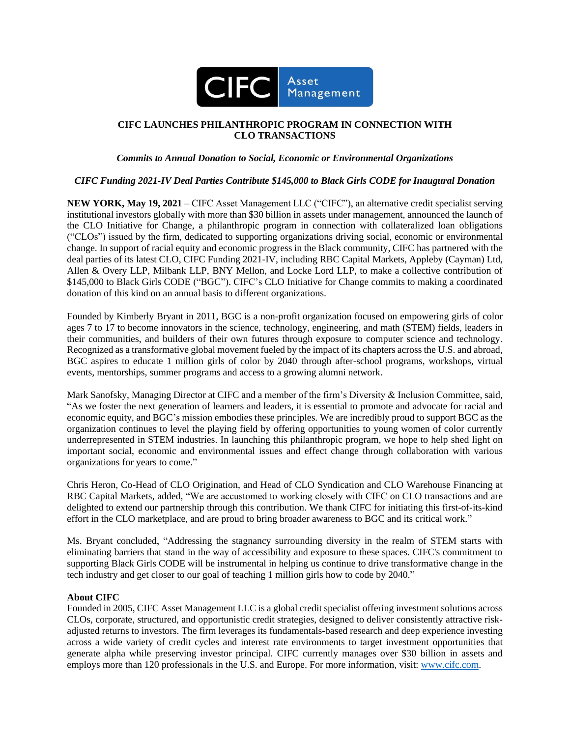

# **CIFC LAUNCHES PHILANTHROPIC PROGRAM IN CONNECTION WITH CLO TRANSACTIONS**

# *Commits to Annual Donation to Social, Economic or Environmental Organizations*

# *CIFC Funding 2021-IV Deal Parties Contribute \$145,000 to Black Girls CODE for Inaugural Donation*

**NEW YORK, May 19, 2021** – CIFC Asset Management LLC ("CIFC"), an alternative credit specialist serving institutional investors globally with more than \$30 billion in assets under management, announced the launch of the CLO Initiative for Change, a philanthropic program in connection with collateralized loan obligations ("CLOs") issued by the firm, dedicated to supporting organizations driving social, economic or environmental change. In support of racial equity and economic progress in the Black community, CIFC has partnered with the deal parties of its latest CLO, CIFC Funding 2021-IV, including RBC Capital Markets, Appleby (Cayman) Ltd, Allen & Overy LLP, Milbank LLP, BNY Mellon, and Locke Lord LLP, to make a collective contribution of \$145,000 to Black Girls CODE ("BGC"). CIFC's CLO Initiative for Change commits to making a coordinated donation of this kind on an annual basis to different organizations.

Founded by Kimberly Bryant in 2011, BGC is a non-profit organization focused on empowering girls of color ages 7 to 17 to become innovators in the science, technology, engineering, and math (STEM) fields, leaders in their communities, and builders of their own futures through exposure to computer science and technology. Recognized as a transformative global movement fueled by the impact of its chapters across the U.S. and abroad, BGC aspires to educate 1 million girls of color by 2040 through after-school programs, workshops, virtual events, mentorships, summer programs and access to a growing alumni network.

Mark Sanofsky, Managing Director at CIFC and a member of the firm's Diversity & Inclusion Committee, said, "As we foster the next generation of learners and leaders, it is essential to promote and advocate for racial and economic equity, and BGC's mission embodies these principles. We are incredibly proud to support BGC as the organization continues to level the playing field by offering opportunities to young women of color currently underrepresented in STEM industries. In launching this philanthropic program, we hope to help shed light on important social, economic and environmental issues and effect change through collaboration with various organizations for years to come."

Chris Heron, Co-Head of CLO Origination, and Head of CLO Syndication and CLO Warehouse Financing at RBC Capital Markets, added, "We are accustomed to working closely with CIFC on CLO transactions and are delighted to extend our partnership through this contribution. We thank CIFC for initiating this first-of-its-kind effort in the CLO marketplace, and are proud to bring broader awareness to BGC and its critical work."

Ms. Bryant concluded, "Addressing the stagnancy surrounding diversity in the realm of STEM starts with eliminating barriers that stand in the way of accessibility and exposure to these spaces. CIFC's commitment to supporting Black Girls CODE will be instrumental in helping us continue to drive transformative change in the tech industry and get closer to our goal of teaching 1 million girls how to code by 2040."

#### **About CIFC**

Founded in 2005, CIFC Asset Management LLC is a global credit specialist offering investment solutions across CLOs, corporate, structured, and opportunistic credit strategies, designed to deliver consistently attractive riskadjusted returns to investors. The firm leverages its fundamentals-based research and deep experience investing across a wide variety of credit cycles and interest rate environments to target investment opportunities that generate alpha while preserving investor principal. CIFC currently manages over \$30 billion in assets and employs more than 120 professionals in the U.S. and Europe. For more information, visit: [www.cifc.com.](http://www.cifc.com/)